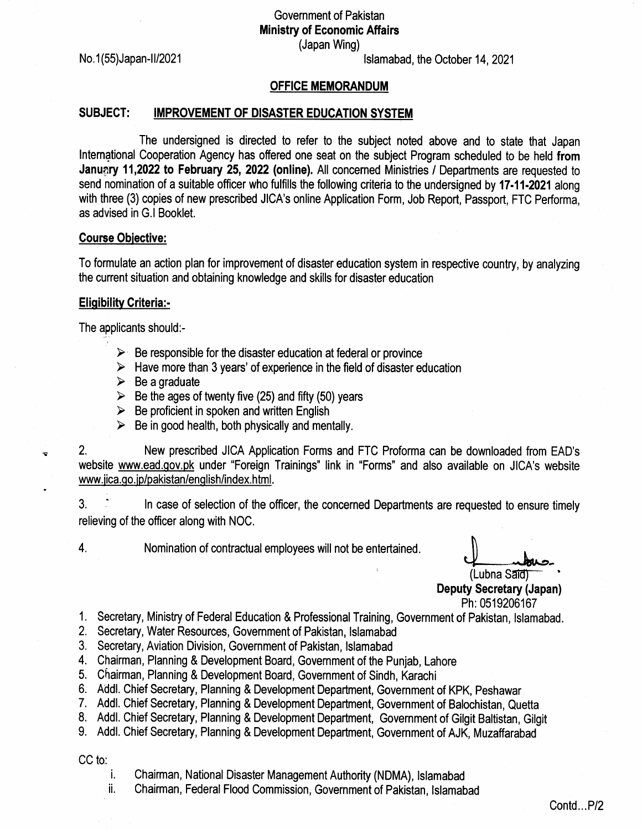Government of Pakistan Ministry of Economic Affairs (Japan Wing)

No. 1(55) Japan-II/2021

lslamabad, the October 14,2021

## OFFIGE MEMORANDUM

## SUBJECT: IMPROVEMENT OF DISASTER EDUCATION SYSTEM

The undersigned is directed to refer to the subject noted above and to state that Japan International Cooperation Agency has offered one seat on the subject Program scheduled to be held from January 11,2022 to February 25, 2022 (online). All concerned Ministries / Departments are requested to send nomination of a suitable officer who fulfills the following criteria to the undersigned by 17-11-2021 along with three (3) copies of new prescribed JICA's online Application Form, Job Report, Passport, FTC Performa, as advised in G.l Booklet.

## Course Obiective:

To formulate an action plan for improvement of disaster education system in respective country, by analyzing the current situation and obtaining knowledge and skills for disaster education

## **Eligibility Criteria:-**

The applicants should:-

- $\triangleright$  Be responsible for the disaster education at federal or province
- $\triangleright$  Have more than 3 years' of experience in the field of disaster education
- $\triangleright$  Be a graduate
- $\triangleright$  Be the ages of twenty five (25) and fifty (50) years
- $\triangleright$  Be proficient in spoken and written English
- $\triangleright$  Be in good health, both physically and mentally.

2. New prescribed JICA Application Forms and FTC Proforma can be downloaded from EAD's website www.ead.gov.pk under "Foreign Trainings" link in "Forms" and also available on JICA's website <u>www.jica.go.jp/pakistan/english/index.html</u>.

3.  $\therefore$  ln case of selection of the officer, the concerned Departments are requested to ensure timely relieving of the officer along with NOC.

 $\mathbf{S}$ 

4. Nomination of contractual employees will not be entertained.

(Lubna Said) Deputy Secretary (Japan) Ph:0519206167

- 1. Secretary, Ministry of Federal Education & Professional Training, Government of Pakistan, Islamabad.
- 2. Secretary, Water Resources, Government of Pakistan, Islamabad
- Secretary, Aviation Division, Government of Pakistan, lslamabad 3.
- Chairman, Planning & Development Board, Government of the Punjab, Lahore 4.
- Chairman, Planning & Development Board, Government of Sindh, Karachi 5.
- 6. Addl. Chief Secretary, Planning & Development Department, Government of KPK, Peshawar
- 7. Addl. Chief Secretary, Planning & Development Department, Government of Balochistan, Quetta

8. Addl. Chief Secretary, Planning & Development Department, Government of Gilgit Baltistan, Gilgit

Addl. Chief Secretary, Planning & Development Department, Government of AJK, Muzaffarabad 9.

CC to:

- 
- i. Chairman, National Disaster Management Authority (NDMA), lslamabad ii. Chairman, Federal FIood Commission, Government of Pakistan, lslamabad